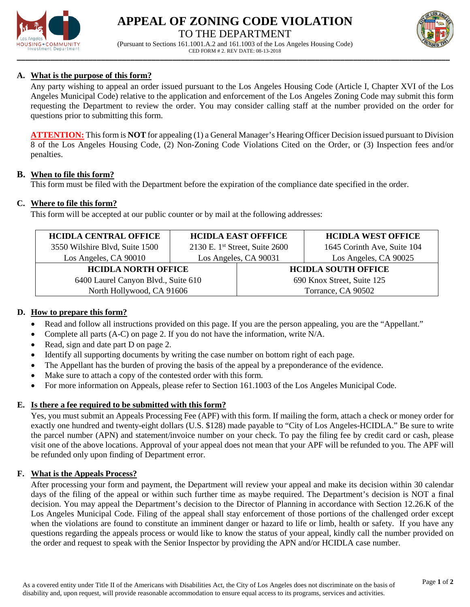

# **APPEAL OF ZONING CODE VIOLATION** TO THE DEPARTMENT





## **A. What is the purpose of this form?**

Any party wishing to appeal an order issued pursuant to the Los Angeles Housing Code (Article I, Chapter XVI of the Los Angeles Municipal Code) relative to the application and enforcement of the Los Angeles Zoning Code may submit this form requesting the Department to review the order. You may consider calling staff at the number provided on the order for questions prior to submitting this form.

**ATTENTION:** This form is **NOT** for appealing (1) a General Manager's Hearing Officer Decision issued pursuant to Division 8 of the Los Angeles Housing Code, (2) Non-Zoning Code Violations Cited on the Order, or (3) Inspection fees and/or penalties.

#### **B. When to file this form?**

This form must be filed with the Department before the expiration of the compliance date specified in the order.

### **C. Where to file this form?**

This form will be accepted at our public counter or by mail at the following addresses:

| <b>HCIDLA CENTRAL OFFICE</b>        | <b>HCIDLA EAST OFFFICE</b>                 |                            | <b>HCIDLA WEST OFFICE</b>   |
|-------------------------------------|--------------------------------------------|----------------------------|-----------------------------|
| 3550 Wilshire Blvd, Suite 1500      | 2130 E. 1 <sup>st</sup> Street, Suite 2600 |                            | 1645 Corinth Ave, Suite 104 |
| Los Angeles, CA 90010               | Los Angeles, CA 90031                      |                            | Los Angeles, CA 90025       |
| <b>HCIDLA NORTH OFFICE</b>          |                                            | <b>HCIDLA SOUTH OFFICE</b> |                             |
| 6400 Laurel Canyon Blvd., Suite 610 |                                            | 690 Knox Street, Suite 125 |                             |
| North Hollywood, CA 91606           |                                            | Torrance, CA 90502         |                             |

## **D. How to prepare this form?**

- Read and follow all instructions provided on this page. If you are the person appealing, you are the "Appellant."
- Complete all parts  $(A-C)$  on page 2. If you do not have the information, write  $N/A$ .
- Read, sign and date part D on page 2.
- Identify all supporting documents by writing the case number on bottom right of each page.
- The Appellant has the burden of proving the basis of the appeal by a preponderance of the evidence.
- Make sure to attach a copy of the contested order with this form.
- For more information on Appeals, please refer to Section 161.1003 of the Los Angeles Municipal Code.

## **E. Is there a fee required to be submitted with this form?**

Yes, you must submit an Appeals Processing Fee (APF) with this form. If mailing the form, attach a check or money order for exactly one hundred and twenty-eight dollars (U.S. \$128) made payable to "City of Los Angeles-HCIDLA." Be sure to write the parcel number (APN) and statement/invoice number on your check. To pay the filing fee by credit card or cash, please visit one of the above locations. Approval of your appeal does not mean that your APF will be refunded to you. The APF will be refunded only upon finding of Department error.

#### **F. What is the Appeals Process?**

After processing your form and payment, the Department will review your appeal and make its decision within 30 calendar days of the filing of the appeal or within such further time as maybe required. The Department's decision is NOT a final decision. You may appeal the Department's decision to the Director of Planning in accordance with Section 12.26.K of the Los Angeles Municipal Code. Filing of the appeal shall stay enforcement of those portions of the challenged order except when the violations are found to constitute an imminent danger or hazard to life or limb, health or safety. If you have any questions regarding the appeals process or would like to know the status of your appeal, kindly call the number provided on the order and request to speak with the Senior Inspector by providing the APN and/or HCIDLA case number.